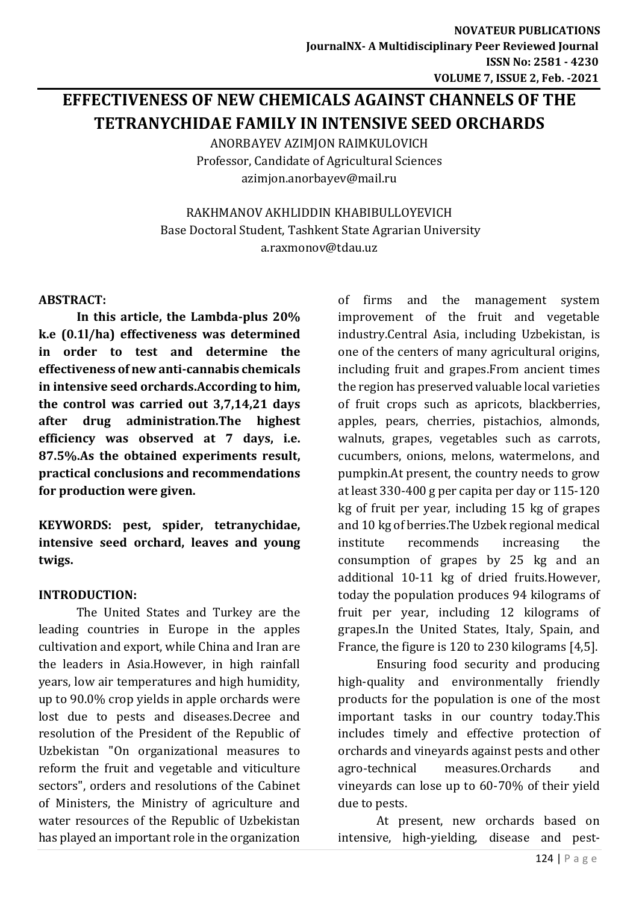# **EFFECTIVENESS OF NEW CHEMICALS AGAINST CHANNELS OF THE TETRANYCHIDAE FAMILY IN INTENSIVE SEED ORCHARDS**

ANORBAYEV AZIMJON RAIMKULOVICH Professor, Candidate of Agricultural Sciences [azimjon.anorbayev@mail.ru](mailto:azimjon.anorbayev@mail.ru)

RAKHMANOV AKHLIDDIN KHABIBULLOYEVICH Base Doctoral Student, Tashkent State Agrarian University [a.raxmonov@tdau.uz](mailto:a.raxmonov@tdau.uz)

## **ABSTRACT:**

**In this article, the Lambda-plus 20% k.e (0.1l/ha) effectiveness was determined in order to test and determine the effectiveness of new anti-cannabis chemicals in intensive seed orchards.According to him, the control was carried out 3,7,14,21 days after drug administration.The highest efficiency was observed at 7 days, i.e. 87.5%.As the obtained experiments result, practical conclusions and recommendations for production were given.**

**KEYWORDS: pest, spider, tetranychidae, intensive seed orchard, leaves and young twigs.**

# **INTRODUCTION:**

The United States and Turkey are the leading countries in Europe in the apples cultivation and export, while China and Iran are the leaders in Asia.However, in high rainfall years, low air temperatures and high humidity, up to 90.0% crop yields in apple orchards were lost due to pests and diseases.Decree and resolution of the President of the Republic of Uzbekistan "On organizational measures to reform the fruit and vegetable and viticulture sectors", orders and resolutions of the Cabinet of Ministers, the Ministry of agriculture and water resources of the Republic of Uzbekistan has played an important role in the organization of firms and the management system improvement of the fruit and vegetable industry.Central Asia, including Uzbekistan, is one of the centers of many agricultural origins, including fruit and grapes.From ancient times the region has preserved valuable local varieties of fruit crops such as apricots, blackberries, apples, pears, cherries, pistachios, almonds, walnuts, grapes, vegetables such as carrots, cucumbers, onions, melons, watermelons, and pumpkin.At present, the country needs to grow at least 330-400 g per capita per day or 115-120 kg of fruit per year, including 15 kg of grapes and 10 kg of berries.The Uzbek regional medical institute recommends increasing the consumption of grapes by 25 kg and an additional 10-11 kg of dried fruits.However, today the population produces 94 kilograms of fruit per year, including 12 kilograms of grapes.In the United States, Italy, Spain, and France, the figure is 120 to 230 kilograms [4,5].

Ensuring food security and producing high-quality and environmentally friendly products for the population is one of the most important tasks in our country today.This includes timely and effective protection of orchards and vineyards against pests and other agro-technical measures.Orchards and vineyards can lose up to 60-70% of their yield due to pests.

At present, new orchards based on intensive, high-yielding, disease and pest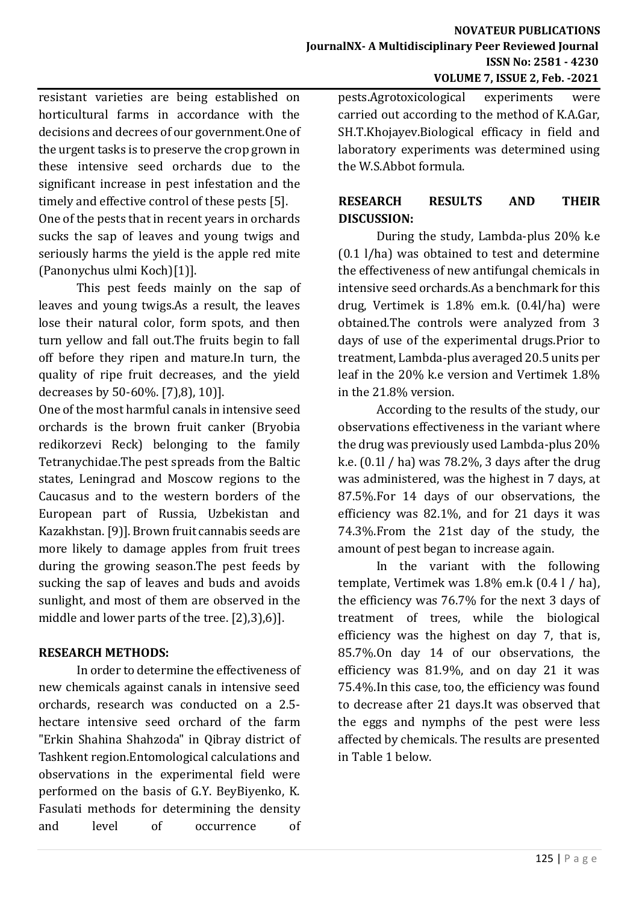resistant varieties are being established on horticultural farms in accordance with the decisions and decrees of our government.One of the urgent tasks is to preserve the crop grown in these intensive seed orchards due to the significant increase in pest infestation and the timely and effective control of these pests [5].

One of the pests that in recent years in orchards sucks the sap of leaves and young twigs and seriously harms the yield is the apple red mite (Panonychus ulmi Koch)[\[1\)\]](#page-2-0).

This pest feeds mainly on the sap of leaves and young twigs.As a result, the leaves lose their natural color, form spots, and then turn yellow and fall out.The fruits begin to fall off before they ripen and mature.In turn, the quality of ripe fruit decreases, and the yield decreases by 50-60%. [\[7\),](#page-2-1)[8\),](#page-2-2) [10\)\]](#page-3-0).

One of the most harmful canals in intensive seed orchards is the brown fruit canker (Bryobia redikorzevi Reck) belonging to the family Tetranychidae.The pest spreads from the Baltic states, Leningrad and Moscow regions to the Caucasus and to the western borders of the European part of Russia, Uzbekistan and Kazakhstan. [\[9\)\]](#page-2-3). Brown fruit cannabis seeds are more likely to damage apples from fruit trees during the growing season.The pest feeds by sucking the sap of leaves and buds and avoids sunlight, and most of them are observed in the middle and lower parts of the tree. [\[2\)](#page-2-4)[,3\)](#page-2-5)[,6\)\]](#page-2-6).

# **RESEARCH METHODS:**

In order to determine the effectiveness of new chemicals against canals in intensive seed orchards, research was conducted on a 2.5 hectare intensive seed orchard of the farm "Erkin Shahina Shahzoda" in Qibray district of Tashkent region.Entomological calculations and observations in the experimental field were performed on the basis of G.Y. BeyBiyenko, K. Fasulati methods for determining the density and level of occurrence of pests.Agrotoxicological experiments were carried out according to the method of K.A.Gar, SH.T.Khojayev.Biological efficacy in field and laboratory experiments was determined using the W.S.Abbot formula.

# **RESEARCH RESULTS AND THEIR DISCUSSION:**

During the study, Lambda-plus 20% k.e (0.1 l/ha) was obtained to test and determine the effectiveness of new antifungal chemicals in intensive seed orchards.As a benchmark for this drug, Vertimek is 1.8% em.k. (0.4l/ha) were obtained.The controls were analyzed from 3 days of use of the experimental drugs.Prior to treatment, Lambda-plus averaged 20.5 units per leaf in the 20% k.e version and Vertimek 1.8% in the 21.8% version.

According to the results of the study, our observations effectiveness in the variant where the drug was previously used Lambda-plus 20% k.e. (0.1l / ha) was 78.2%, 3 days after the drug was administered, was the highest in 7 days, at 87.5%.For 14 days of our observations, the efficiency was 82.1%, and for 21 days it was 74.3%.From the 21st day of the study, the amount of pest began to increase again.

In the variant with the following template, Vertimek was 1.8% em.k (0.4 l / ha), the efficiency was 76.7% for the next 3 days of treatment of trees, while the biological efficiency was the highest on day 7, that is, 85.7%.On day 14 of our observations, the efficiency was 81.9%, and on day 21 it was 75.4%.In this case, too, the efficiency was found to decrease after 21 days.It was observed that the eggs and nymphs of the pest were less affected by chemicals. The results are presented in Table 1 below.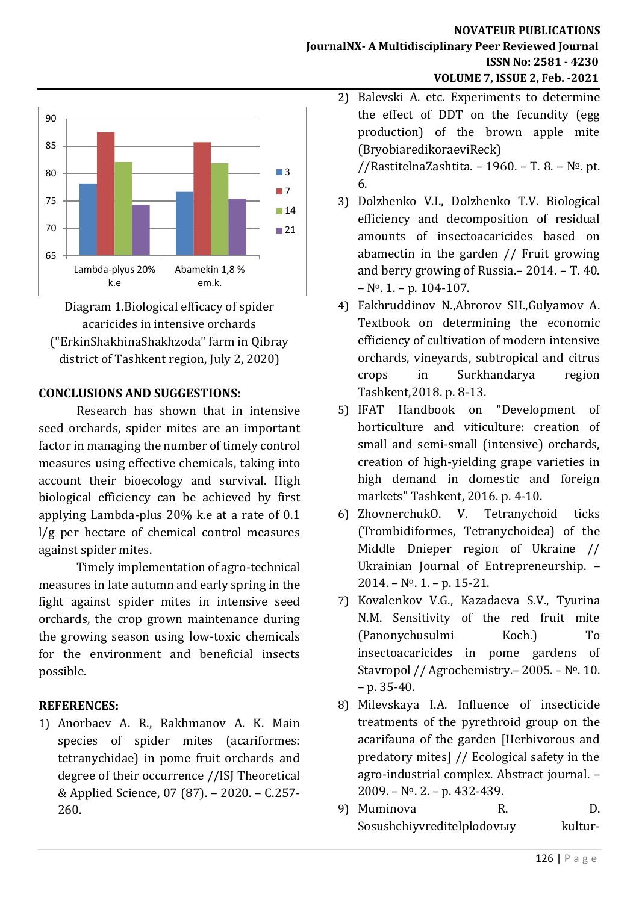

Diagram 1.Biological efficacy of spider acaricides in intensive orchards ("ErkinShakhinaShakhzoda" farm in Qibray district of Tashkent region, July 2, 2020)

## **CONCLUSIONS AND SUGGESTIONS:**

Research has shown that in intensive seed orchards, spider mites are an important factor in managing the number of timely control measures using effective chemicals, taking into account their bioecology and survival. High biological efficiency can be achieved by first applying Lambda-plus 20% k.e at a rate of 0.1 l/g per hectare of chemical control measures against spider mites.

Timely implementation of agro-technical measures in late autumn and early spring in the fight against spider mites in intensive seed orchards, the crop grown maintenance during the growing season using low-toxic chemicals for the environment and beneficial insects possible.

# **REFERENCES:**

<span id="page-2-0"></span>1) Anorbaev A. R., Rakhmanov A. K. Main species of spider mites (acariformes: tetranychidae) in pome fruit orchards and degree of their occurrence //ISJ Theoretical & Applied Science, 07 (87). – 2020. – С.257- 260.

#### **NOVATEUR PUBLICATIONS JournalNX- A Multidisciplinary Peer Reviewed Journal ISSN No: 2581 - 4230 VOLUME 7, ISSUE 2, Feb. -2021**

- <span id="page-2-4"></span>2) Balevski A. etc. Experiments to determine the effect of DDT on the fecundity (egg production) of the brown apple mite (BryobiaredikoraeviReck) //RastitelnaZashtita. – 1960. – Т. 8. – №. pt. 6.
- <span id="page-2-5"></span>3) Dolzhenko V.I., Dolzhenko T.V. Biological efficiency and decomposition of residual amounts of insectoacaricides based on abamectin in the garden // Fruit growing and berry growing of Russia.– 2014. – Т. 40.  $- N<sup>o</sup>$ . 1. – p. 104-107.
- 4) Fakhruddinov N.,Abrorov SH.,Gulyamov A. Textbook on determining the economic efficiency of cultivation of modern intensive orchards, vineyards, subtropical and citrus crops in Surkhandarya region Tashkent,2018. p. 8-13.
- 5) IFAT Handbook on "Development of horticulture and viticulture: creation of small and semi-small (intensive) orchards, creation of high-yielding grape varieties in high demand in domestic and foreign markets" Tashkent, 2016. p. 4-10.
- <span id="page-2-6"></span>6) ZhovnerchukO. V. Tetranychoid ticks (Trombidiformes, Tetranychoidea) of the Middle Dnieper region of Ukraine // Ukrainian Journal of Entrepreneurship. –  $2014. - N<sup>o</sup>$ . 1. – p. 15-21.
- <span id="page-2-1"></span>7) Kovalenkov V.G., Kazadaeva S.V., Tyurina N.M. Sensitivity of the red fruit mite (Panonychusulmi Koch.) To insectoacaricides in pome gardens of Stavropol // Agrochemistry.– 2005. – №. 10.  $- p. 35-40.$
- <span id="page-2-2"></span>8) Milevskaya I.A. Influence of insecticide treatments of the pyrethroid group on the acarifauna of the garden [Herbivorous and predatory mites] // Ecological safety in the agro-industrial complex. Abstract journal. – 2009. – №. 2. – p. 432-439.
- <span id="page-2-3"></span>9) Muminova R. D. Sosushchiyvreditelplodovыy kultur-

126 | P a g e